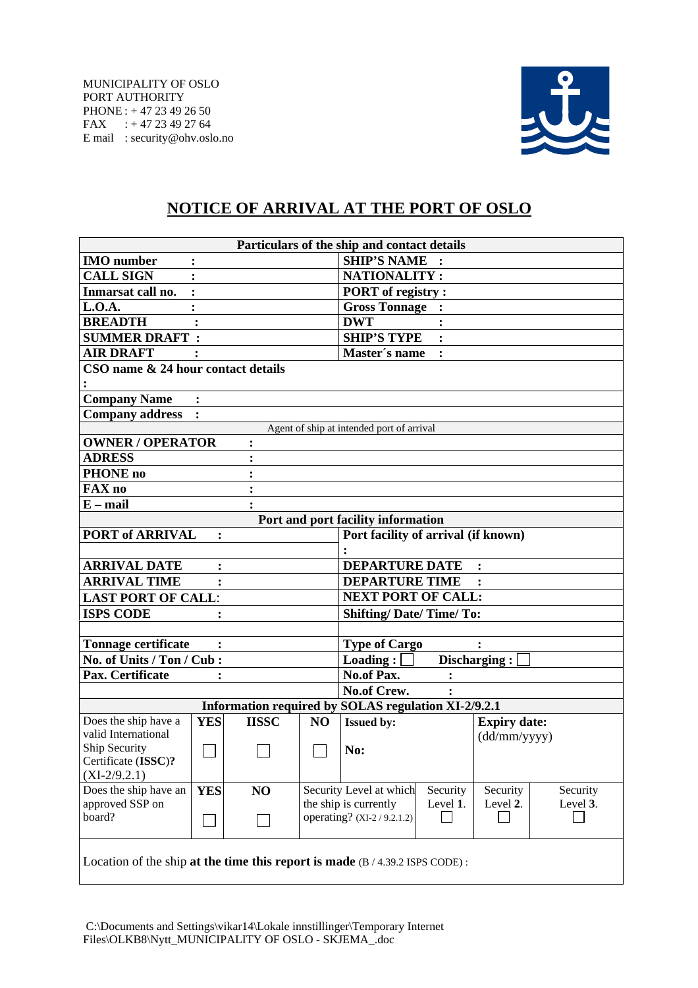

## **NOTICE OF ARRIVAL AT THE PORT OF OSLO**

| Particulars of the ship and contact details                                    |                |              |                |                                                     |                                     |          |  |  |  |  |
|--------------------------------------------------------------------------------|----------------|--------------|----------------|-----------------------------------------------------|-------------------------------------|----------|--|--|--|--|
| <b>IMO</b> number                                                              | $\ddot{\cdot}$ |              |                | <b>SHIP'S NAME</b>                                  |                                     |          |  |  |  |  |
| <b>CALL SIGN</b>                                                               |                |              |                | <b>NATIONALITY:</b>                                 |                                     |          |  |  |  |  |
| Inmarsat call no.                                                              |                |              |                | <b>PORT</b> of registry:                            |                                     |          |  |  |  |  |
| L.O.A.                                                                         |                |              |                | <b>Gross Tonnage:</b>                               |                                     |          |  |  |  |  |
| <b>BREADTH</b>                                                                 |                |              |                | <b>DWT</b>                                          |                                     |          |  |  |  |  |
| <b>SUMMER DRAFT:</b>                                                           |                |              |                | <b>SHIP'S TYPE</b>                                  |                                     |          |  |  |  |  |
| <b>AIR DRAFT</b>                                                               |                |              |                | Master's name<br>$\ddot{\cdot}$                     |                                     |          |  |  |  |  |
| CSO name & 24 hour contact details                                             |                |              |                |                                                     |                                     |          |  |  |  |  |
| <b>Company Name</b>                                                            |                |              |                |                                                     |                                     |          |  |  |  |  |
| <b>Company address</b>                                                         |                |              |                |                                                     |                                     |          |  |  |  |  |
| Agent of ship at intended port of arrival                                      |                |              |                |                                                     |                                     |          |  |  |  |  |
| <b>OWNER / OPERATOR</b>                                                        |                |              |                |                                                     |                                     |          |  |  |  |  |
| <b>ADRESS</b>                                                                  |                |              |                |                                                     |                                     |          |  |  |  |  |
| <b>PHONE</b> no                                                                |                |              |                |                                                     |                                     |          |  |  |  |  |
| <b>FAX</b> no                                                                  |                |              |                |                                                     |                                     |          |  |  |  |  |
| $E - mail$                                                                     |                |              |                |                                                     |                                     |          |  |  |  |  |
|                                                                                |                |              |                | Port and port facility information                  |                                     |          |  |  |  |  |
| <b>PORT of ARRIVAL</b>                                                         | :              |              |                | Port facility of arrival (if known)                 |                                     |          |  |  |  |  |
|                                                                                |                |              |                |                                                     |                                     |          |  |  |  |  |
| <b>ARRIVAL DATE</b>                                                            | $\ddot{\cdot}$ |              |                | <b>DEPARTURE DATE</b>                               |                                     |          |  |  |  |  |
| <b>ARRIVAL TIME</b>                                                            |                |              |                | <b>DEPARTURE TIME</b>                               |                                     |          |  |  |  |  |
| <b>LAST PORT OF CALL:</b>                                                      |                |              |                | <b>NEXT PORT OF CALL:</b>                           |                                     |          |  |  |  |  |
| <b>ISPS CODE</b>                                                               |                |              |                | <b>Shifting/Date/Time/To:</b>                       |                                     |          |  |  |  |  |
|                                                                                |                |              |                |                                                     |                                     |          |  |  |  |  |
| <b>Tonnage certificate</b><br><b>Type of Cargo</b><br>$\ddot{\cdot}$           |                |              |                |                                                     |                                     |          |  |  |  |  |
| No. of Units / Ton / Cub:                                                      |                |              |                | $\bf$ Loading :<br>Discharging:                     |                                     |          |  |  |  |  |
| Pax. Certificate                                                               | :              |              |                | <b>No.of Pax.</b><br>$\ddot{\cdot}$                 |                                     |          |  |  |  |  |
|                                                                                |                |              |                | No.of Crew.<br>:                                    |                                     |          |  |  |  |  |
|                                                                                |                |              |                | Information required by SOLAS regulation XI-2/9.2.1 |                                     |          |  |  |  |  |
| Does the ship have a<br>valid International                                    | <b>YES</b>     | <b>IISSC</b> | N <sub>O</sub> | <b>Issued by:</b>                                   | <b>Expiry date:</b><br>(dd/mm/yyyy) |          |  |  |  |  |
| Ship Security<br>Certificate (ISSC)?                                           |                |              |                | No:                                                 |                                     |          |  |  |  |  |
| $(XI-2/9.2.1)$                                                                 |                |              |                |                                                     |                                     |          |  |  |  |  |
| Does the ship have an                                                          | <b>YES</b>     | NO           |                | Security Level at which<br>Security                 | Security                            | Security |  |  |  |  |
| approved SSP on                                                                |                |              |                | the ship is currently<br>Level 1.                   | Level 2.                            | Level 3. |  |  |  |  |
| board?                                                                         |                |              |                | operating? (XI-2/9.2.1.2)                           |                                     |          |  |  |  |  |
| Location of the ship at the time this report is made $(B / 4.39.2$ ISPS CODE): |                |              |                |                                                     |                                     |          |  |  |  |  |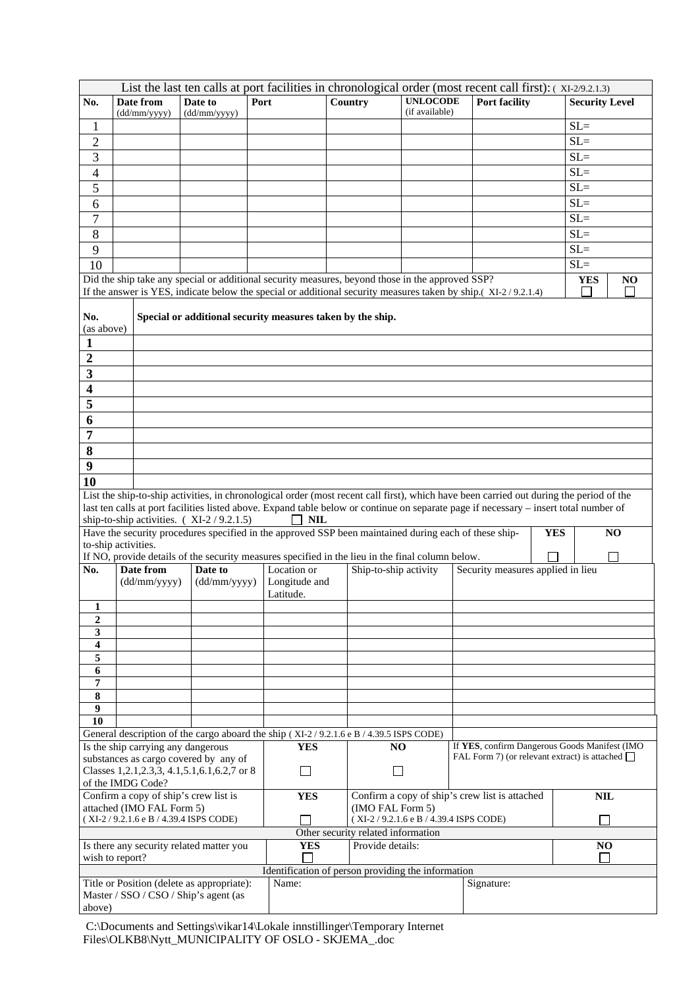| List the last ten calls at port facilities in chronological order (most recent call first): (XI-2/9.2.1.3) |                                       |                                                      |                                                                                                       |                                     |                                                                                  |                                    |                       |                                   |  |                                                                                                                                       |                                                      |                                                                                                                                         |
|------------------------------------------------------------------------------------------------------------|---------------------------------------|------------------------------------------------------|-------------------------------------------------------------------------------------------------------|-------------------------------------|----------------------------------------------------------------------------------|------------------------------------|-----------------------|-----------------------------------|--|---------------------------------------------------------------------------------------------------------------------------------------|------------------------------------------------------|-----------------------------------------------------------------------------------------------------------------------------------------|
| No.                                                                                                        |                                       | Date from<br>(dd/mm/vyvy)                            | Date to<br>(dd/mm/yyyy)                                                                               | Port                                |                                                                                  |                                    | Country               | <b>UNLOCODE</b><br>(if available) |  | Port facility                                                                                                                         |                                                      | <b>Security Level</b>                                                                                                                   |
| 1                                                                                                          |                                       |                                                      |                                                                                                       |                                     |                                                                                  |                                    |                       |                                   |  |                                                                                                                                       |                                                      | $SL=$                                                                                                                                   |
| $\overline{c}$                                                                                             |                                       |                                                      |                                                                                                       |                                     |                                                                                  |                                    |                       |                                   |  |                                                                                                                                       |                                                      | $SL =$                                                                                                                                  |
| 3                                                                                                          |                                       |                                                      |                                                                                                       |                                     |                                                                                  |                                    |                       |                                   |  |                                                                                                                                       |                                                      | $SL =$                                                                                                                                  |
| 4                                                                                                          |                                       |                                                      |                                                                                                       |                                     |                                                                                  |                                    |                       |                                   |  |                                                                                                                                       |                                                      | $SL =$                                                                                                                                  |
| 5                                                                                                          |                                       |                                                      |                                                                                                       |                                     |                                                                                  |                                    |                       |                                   |  |                                                                                                                                       |                                                      | $SL =$                                                                                                                                  |
| 6                                                                                                          |                                       |                                                      |                                                                                                       |                                     |                                                                                  |                                    |                       |                                   |  |                                                                                                                                       |                                                      | $SL =$                                                                                                                                  |
| 7                                                                                                          |                                       |                                                      |                                                                                                       |                                     |                                                                                  |                                    |                       |                                   |  |                                                                                                                                       |                                                      | $SL =$                                                                                                                                  |
| 8                                                                                                          |                                       |                                                      |                                                                                                       |                                     |                                                                                  |                                    |                       |                                   |  |                                                                                                                                       |                                                      | $SL =$                                                                                                                                  |
| 9                                                                                                          |                                       |                                                      |                                                                                                       |                                     |                                                                                  |                                    |                       |                                   |  |                                                                                                                                       |                                                      | $SL =$                                                                                                                                  |
| 10                                                                                                         |                                       |                                                      |                                                                                                       |                                     |                                                                                  |                                    |                       |                                   |  |                                                                                                                                       |                                                      | $SL =$                                                                                                                                  |
|                                                                                                            |                                       |                                                      | Did the ship take any special or additional security measures, beyond those in the approved SSP?      |                                     |                                                                                  |                                    |                       |                                   |  |                                                                                                                                       |                                                      | <b>YES</b><br>NO                                                                                                                        |
|                                                                                                            |                                       |                                                      |                                                                                                       |                                     |                                                                                  |                                    |                       |                                   |  | If the answer is YES, indicate below the special or additional security measures taken by ship.(XI-2/9.2.1.4)                         |                                                      |                                                                                                                                         |
|                                                                                                            |                                       |                                                      |                                                                                                       |                                     |                                                                                  |                                    |                       |                                   |  |                                                                                                                                       |                                                      |                                                                                                                                         |
| No.<br>(as above)                                                                                          |                                       |                                                      | Special or additional security measures taken by the ship.                                            |                                     |                                                                                  |                                    |                       |                                   |  |                                                                                                                                       |                                                      |                                                                                                                                         |
| 1                                                                                                          |                                       |                                                      |                                                                                                       |                                     |                                                                                  |                                    |                       |                                   |  |                                                                                                                                       |                                                      |                                                                                                                                         |
| $\overline{2}$                                                                                             |                                       |                                                      |                                                                                                       |                                     |                                                                                  |                                    |                       |                                   |  |                                                                                                                                       |                                                      |                                                                                                                                         |
| 3                                                                                                          |                                       |                                                      |                                                                                                       |                                     |                                                                                  |                                    |                       |                                   |  |                                                                                                                                       |                                                      |                                                                                                                                         |
| 4                                                                                                          |                                       |                                                      |                                                                                                       |                                     |                                                                                  |                                    |                       |                                   |  |                                                                                                                                       |                                                      |                                                                                                                                         |
| 5                                                                                                          |                                       |                                                      |                                                                                                       |                                     |                                                                                  |                                    |                       |                                   |  |                                                                                                                                       |                                                      |                                                                                                                                         |
| 6                                                                                                          |                                       |                                                      |                                                                                                       |                                     |                                                                                  |                                    |                       |                                   |  |                                                                                                                                       |                                                      |                                                                                                                                         |
| 7                                                                                                          |                                       |                                                      |                                                                                                       |                                     |                                                                                  |                                    |                       |                                   |  |                                                                                                                                       |                                                      |                                                                                                                                         |
|                                                                                                            |                                       |                                                      |                                                                                                       |                                     |                                                                                  |                                    |                       |                                   |  |                                                                                                                                       |                                                      |                                                                                                                                         |
| 8                                                                                                          |                                       |                                                      |                                                                                                       |                                     |                                                                                  |                                    |                       |                                   |  |                                                                                                                                       |                                                      |                                                                                                                                         |
| 9                                                                                                          |                                       |                                                      |                                                                                                       |                                     |                                                                                  |                                    |                       |                                   |  |                                                                                                                                       |                                                      |                                                                                                                                         |
| 10                                                                                                         |                                       |                                                      |                                                                                                       |                                     |                                                                                  |                                    |                       |                                   |  |                                                                                                                                       |                                                      |                                                                                                                                         |
|                                                                                                            |                                       |                                                      |                                                                                                       |                                     |                                                                                  |                                    |                       |                                   |  | last ten calls at port facilities listed above. Expand table below or continue on separate page if necessary – insert total number of |                                                      | List the ship-to-ship activities, in chronological order (most recent call first), which have been carried out during the period of the |
|                                                                                                            |                                       |                                                      | ship-to-ship activities. (XI-2/9.2.1.5)                                                               |                                     | <b>NIL</b>                                                                       |                                    |                       |                                   |  |                                                                                                                                       |                                                      |                                                                                                                                         |
|                                                                                                            |                                       |                                                      | Have the security procedures specified in the approved SSP been maintained during each of these ship- |                                     |                                                                                  |                                    |                       |                                   |  |                                                                                                                                       | <b>YES</b>                                           | NO                                                                                                                                      |
| to-ship activities.                                                                                        |                                       |                                                      |                                                                                                       |                                     |                                                                                  |                                    |                       |                                   |  |                                                                                                                                       |                                                      |                                                                                                                                         |
| No.                                                                                                        |                                       |                                                      | If NO, provide details of the security measures specified in the lieu in the final column below.      |                                     | Location or                                                                      |                                    |                       |                                   |  | Security measures applied in lieu                                                                                                     |                                                      | $\Box$                                                                                                                                  |
|                                                                                                            |                                       | Date from<br>Date to<br>(dd/mm/yyyy)<br>(dd/mm/yyyy) |                                                                                                       |                                     | Longitude and                                                                    |                                    | Ship-to-ship activity |                                   |  |                                                                                                                                       |                                                      |                                                                                                                                         |
|                                                                                                            |                                       |                                                      |                                                                                                       |                                     | Latitude.                                                                        |                                    |                       |                                   |  |                                                                                                                                       |                                                      |                                                                                                                                         |
| $\mathbf{1}$                                                                                               |                                       |                                                      |                                                                                                       |                                     |                                                                                  |                                    |                       |                                   |  |                                                                                                                                       |                                                      |                                                                                                                                         |
| 2                                                                                                          |                                       |                                                      |                                                                                                       |                                     |                                                                                  |                                    |                       |                                   |  |                                                                                                                                       |                                                      |                                                                                                                                         |
| 3                                                                                                          |                                       |                                                      |                                                                                                       |                                     |                                                                                  |                                    |                       |                                   |  |                                                                                                                                       |                                                      |                                                                                                                                         |
| 4<br>5                                                                                                     |                                       |                                                      |                                                                                                       |                                     |                                                                                  |                                    |                       |                                   |  |                                                                                                                                       |                                                      |                                                                                                                                         |
| 6                                                                                                          |                                       |                                                      |                                                                                                       |                                     |                                                                                  |                                    |                       |                                   |  |                                                                                                                                       |                                                      |                                                                                                                                         |
| 7                                                                                                          |                                       |                                                      |                                                                                                       |                                     |                                                                                  |                                    |                       |                                   |  |                                                                                                                                       |                                                      |                                                                                                                                         |
| 8                                                                                                          |                                       |                                                      |                                                                                                       |                                     |                                                                                  |                                    |                       |                                   |  |                                                                                                                                       |                                                      |                                                                                                                                         |
| 9                                                                                                          |                                       |                                                      |                                                                                                       |                                     |                                                                                  |                                    |                       |                                   |  |                                                                                                                                       |                                                      |                                                                                                                                         |
| 10                                                                                                         |                                       |                                                      | General description of the cargo aboard the ship (XI-2/9.2.1.6 e B/4.39.5 ISPS CODE)                  |                                     |                                                                                  |                                    |                       |                                   |  |                                                                                                                                       |                                                      |                                                                                                                                         |
|                                                                                                            |                                       |                                                      |                                                                                                       |                                     | <b>YES</b>                                                                       |                                    | NO                    |                                   |  |                                                                                                                                       |                                                      | If YES, confirm Dangerous Goods Manifest (IMO                                                                                           |
| Is the ship carrying any dangerous<br>substances as cargo covered by any of                                |                                       |                                                      |                                                                                                       |                                     |                                                                                  |                                    |                       |                                   |  |                                                                                                                                       | FAL Form 7) (or relevant extract) is attached $\Box$ |                                                                                                                                         |
| Classes 1, 2.1, 2.3, 3, 4.1, 5.1, 6.1, 6.2, 7 or 8                                                         |                                       |                                                      |                                                                                                       |                                     |                                                                                  |                                    |                       |                                   |  |                                                                                                                                       |                                                      |                                                                                                                                         |
| of the IMDG Code?                                                                                          |                                       |                                                      |                                                                                                       |                                     |                                                                                  |                                    |                       |                                   |  |                                                                                                                                       |                                                      |                                                                                                                                         |
|                                                                                                            | Confirm a copy of ship's crew list is |                                                      |                                                                                                       |                                     | Confirm a copy of ship's crew list is attached<br><b>YES</b><br>(IMO FAL Form 5) |                                    |                       |                                   |  |                                                                                                                                       | <b>NIL</b>                                           |                                                                                                                                         |
| attached (IMO FAL Form 5)<br>(XI-2/9.2.1.6 e B/4.39.4 ISPS CODE)                                           |                                       |                                                      |                                                                                                       | (XI-2/9.2.1.6 e B/4.39.4 ISPS CODE) |                                                                                  |                                    |                       |                                   |  |                                                                                                                                       |                                                      |                                                                                                                                         |
|                                                                                                            |                                       |                                                      |                                                                                                       |                                     |                                                                                  | Other security related information |                       |                                   |  |                                                                                                                                       |                                                      |                                                                                                                                         |
| Is there any security related matter you                                                                   |                                       |                                                      |                                                                                                       |                                     | <b>YES</b>                                                                       | Provide details:                   |                       |                                   |  |                                                                                                                                       |                                                      | NO                                                                                                                                      |
| wish to report?<br>Identification of person providing the information                                      |                                       |                                                      |                                                                                                       |                                     |                                                                                  |                                    |                       |                                   |  |                                                                                                                                       |                                                      |                                                                                                                                         |
|                                                                                                            |                                       |                                                      |                                                                                                       |                                     | Name:                                                                            |                                    |                       |                                   |  |                                                                                                                                       |                                                      |                                                                                                                                         |
| Title or Position (delete as appropriate):<br>Master / SSO / CSO / Ship's agent (as                        |                                       |                                                      |                                                                                                       |                                     |                                                                                  |                                    |                       |                                   |  | Signature:                                                                                                                            |                                                      |                                                                                                                                         |
|                                                                                                            | above)                                |                                                      |                                                                                                       |                                     |                                                                                  |                                    |                       |                                   |  |                                                                                                                                       |                                                      |                                                                                                                                         |

 C:\Documents and Settings\vikar14\Lokale innstillinger\Temporary Internet Files\OLKB8\Nytt\_MUNICIPALITY OF OSLO - SKJEMA\_.doc